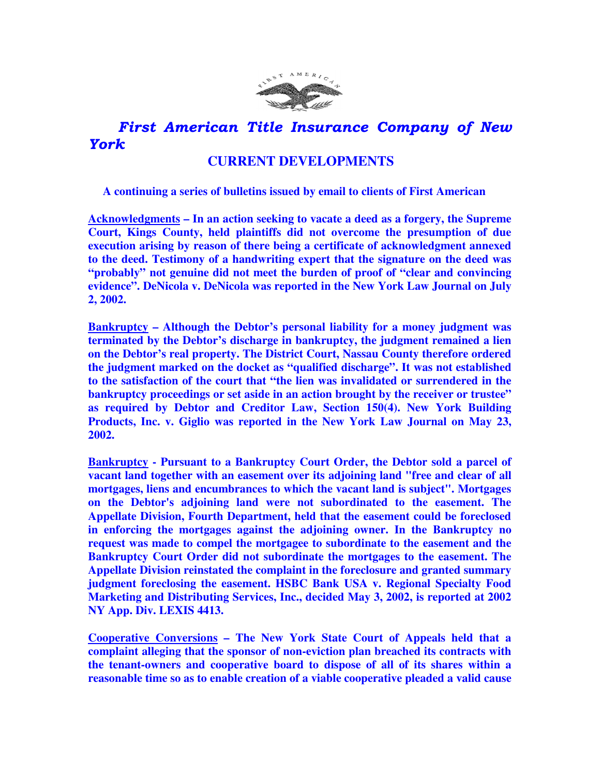

## First American Title Insurance Company of New York

## **CURRENT DEVELOPMENTS**

 **A continuing a series of bulletins issued by email to clients of First American** 

**Acknowledgments – In an action seeking to vacate a deed as a forgery, the Supreme Court, Kings County, held plaintiffs did not overcome the presumption of due execution arising by reason of there being a certificate of acknowledgment annexed to the deed. Testimony of a handwriting expert that the signature on the deed was "probably" not genuine did not meet the burden of proof of "clear and convincing evidence". DeNicola v. DeNicola was reported in the New York Law Journal on July 2, 2002.** 

**Bankruptcy – Although the Debtor's personal liability for a money judgment was terminated by the Debtor's discharge in bankruptcy, the judgment remained a lien on the Debtor's real property. The District Court, Nassau County therefore ordered the judgment marked on the docket as "qualified discharge". It was not established to the satisfaction of the court that "the lien was invalidated or surrendered in the bankruptcy proceedings or set aside in an action brought by the receiver or trustee" as required by Debtor and Creditor Law, Section 150(4). New York Building Products, Inc. v. Giglio was reported in the New York Law Journal on May 23, 2002.** 

**Bankruptcy - Pursuant to a Bankruptcy Court Order, the Debtor sold a parcel of vacant land together with an easement over its adjoining land "free and clear of all mortgages, liens and encumbrances to which the vacant land is subject". Mortgages on the Debtor's adjoining land were not subordinated to the easement. The Appellate Division, Fourth Department, held that the easement could be foreclosed in enforcing the mortgages against the adjoining owner. In the Bankruptcy no request was made to compel the mortgagee to subordinate to the easement and the Bankruptcy Court Order did not subordinate the mortgages to the easement. The Appellate Division reinstated the complaint in the foreclosure and granted summary judgment foreclosing the easement. HSBC Bank USA v. Regional Specialty Food Marketing and Distributing Services, Inc., decided May 3, 2002, is reported at 2002 NY App. Div. LEXIS 4413.** 

**Cooperative Conversions – The New York State Court of Appeals held that a complaint alleging that the sponsor of non-eviction plan breached its contracts with the tenant-owners and cooperative board to dispose of all of its shares within a reasonable time so as to enable creation of a viable cooperative pleaded a valid cause**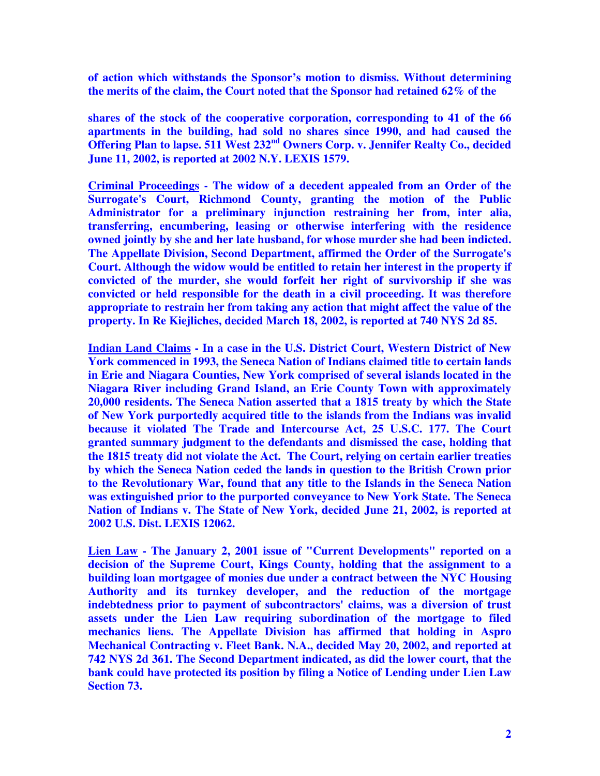**of action which withstands the Sponsor's motion to dismiss. Without determining the merits of the claim, the Court noted that the Sponsor had retained 62% of the** 

**shares of the stock of the cooperative corporation, corresponding to 41 of the 66 apartments in the building, had sold no shares since 1990, and had caused the Offering Plan to lapse. 511 West 232nd Owners Corp. v. Jennifer Realty Co., decided June 11, 2002, is reported at 2002 N.Y. LEXIS 1579.** 

**Criminal Proceedings - The widow of a decedent appealed from an Order of the Surrogate's Court, Richmond County, granting the motion of the Public Administrator for a preliminary injunction restraining her from, inter alia, transferring, encumbering, leasing or otherwise interfering with the residence owned jointly by she and her late husband, for whose murder she had been indicted. The Appellate Division, Second Department, affirmed the Order of the Surrogate's Court. Although the widow would be entitled to retain her interest in the property if convicted of the murder, she would forfeit her right of survivorship if she was convicted or held responsible for the death in a civil proceeding. It was therefore appropriate to restrain her from taking any action that might affect the value of the property. In Re Kiejliches, decided March 18, 2002, is reported at 740 NYS 2d 85.** 

**Indian Land Claims - In a case in the U.S. District Court, Western District of New York commenced in 1993, the Seneca Nation of Indians claimed title to certain lands in Erie and Niagara Counties, New York comprised of several islands located in the Niagara River including Grand Island, an Erie County Town with approximately 20,000 residents. The Seneca Nation asserted that a 1815 treaty by which the State of New York purportedly acquired title to the islands from the Indians was invalid because it violated The Trade and Intercourse Act, 25 U.S.C. 177. The Court granted summary judgment to the defendants and dismissed the case, holding that the 1815 treaty did not violate the Act. The Court, relying on certain earlier treaties by which the Seneca Nation ceded the lands in question to the British Crown prior to the Revolutionary War, found that any title to the Islands in the Seneca Nation was extinguished prior to the purported conveyance to New York State. The Seneca Nation of Indians v. The State of New York, decided June 21, 2002, is reported at 2002 U.S. Dist. LEXIS 12062.** 

**Lien Law - The January 2, 2001 issue of "Current Developments" reported on a decision of the Supreme Court, Kings County, holding that the assignment to a building loan mortgagee of monies due under a contract between the NYC Housing Authority and its turnkey developer, and the reduction of the mortgage indebtedness prior to payment of subcontractors' claims, was a diversion of trust assets under the Lien Law requiring subordination of the mortgage to filed mechanics liens. The Appellate Division has affirmed that holding in Aspro Mechanical Contracting v. Fleet Bank. N.A., decided May 20, 2002, and reported at 742 NYS 2d 361. The Second Department indicated, as did the lower court, that the bank could have protected its position by filing a Notice of Lending under Lien Law Section 73.**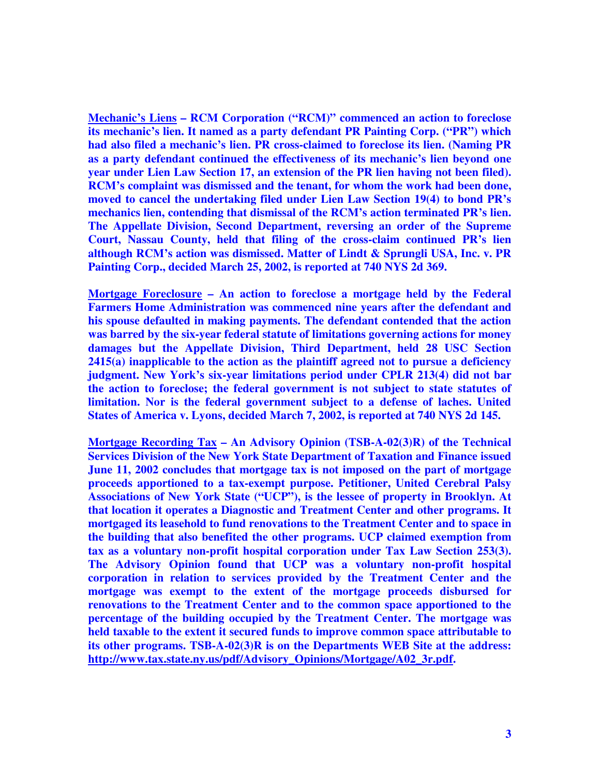**Mechanic's Liens – RCM Corporation ("RCM)" commenced an action to foreclose its mechanic's lien. It named as a party defendant PR Painting Corp. ("PR") which had also filed a mechanic's lien. PR cross-claimed to foreclose its lien. (Naming PR as a party defendant continued the effectiveness of its mechanic's lien beyond one year under Lien Law Section 17, an extension of the PR lien having not been filed). RCM's complaint was dismissed and the tenant, for whom the work had been done, moved to cancel the undertaking filed under Lien Law Section 19(4) to bond PR's mechanics lien, contending that dismissal of the RCM's action terminated PR's lien. The Appellate Division, Second Department, reversing an order of the Supreme Court, Nassau County, held that filing of the cross-claim continued PR's lien although RCM's action was dismissed. Matter of Lindt & Sprungli USA, Inc. v. PR Painting Corp., decided March 25, 2002, is reported at 740 NYS 2d 369.** 

**Mortgage Foreclosure – An action to foreclose a mortgage held by the Federal Farmers Home Administration was commenced nine years after the defendant and his spouse defaulted in making payments. The defendant contended that the action was barred by the six-year federal statute of limitations governing actions for money damages but the Appellate Division, Third Department, held 28 USC Section 2415(a) inapplicable to the action as the plaintiff agreed not to pursue a deficiency judgment. New York's six-year limitations period under CPLR 213(4) did not bar the action to foreclose; the federal government is not subject to state statutes of limitation. Nor is the federal government subject to a defense of laches. United States of America v. Lyons, decided March 7, 2002, is reported at 740 NYS 2d 145.** 

**Mortgage Recording Tax – An Advisory Opinion (TSB-A-02(3)R) of the Technical Services Division of the New York State Department of Taxation and Finance issued June 11, 2002 concludes that mortgage tax is not imposed on the part of mortgage proceeds apportioned to a tax-exempt purpose. Petitioner, United Cerebral Palsy Associations of New York State ("UCP"), is the lessee of property in Brooklyn. At that location it operates a Diagnostic and Treatment Center and other programs. It mortgaged its leasehold to fund renovations to the Treatment Center and to space in the building that also benefited the other programs. UCP claimed exemption from tax as a voluntary non-profit hospital corporation under Tax Law Section 253(3). The Advisory Opinion found that UCP was a voluntary non-profit hospital corporation in relation to services provided by the Treatment Center and the mortgage was exempt to the extent of the mortgage proceeds disbursed for renovations to the Treatment Center and to the common space apportioned to the percentage of the building occupied by the Treatment Center. The mortgage was held taxable to the extent it secured funds to improve common space attributable to its other programs. TSB-A-02(3)R is on the Departments WEB Site at the address: http://www.tax.state.ny.us/pdf/Advisory\_Opinions/Mortgage/A02\_3r.pdf.**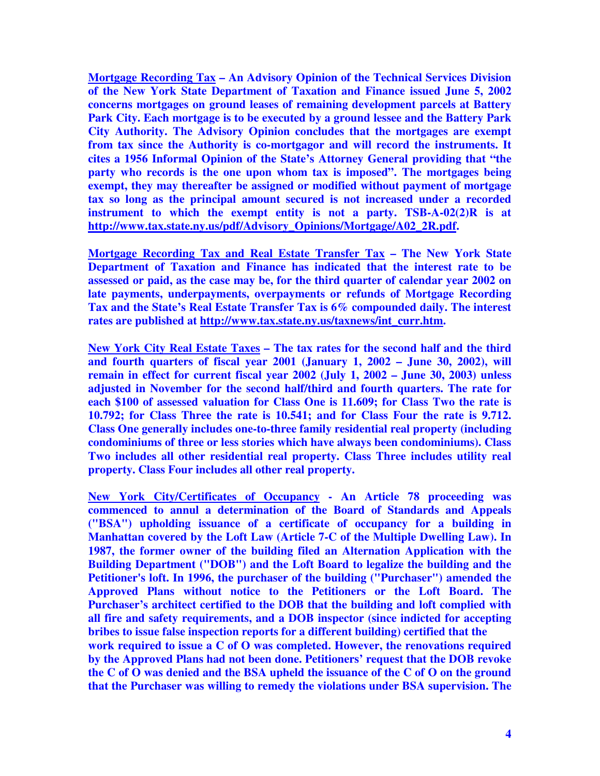**Mortgage Recording Tax – An Advisory Opinion of the Technical Services Division of the New York State Department of Taxation and Finance issued June 5, 2002 concerns mortgages on ground leases of remaining development parcels at Battery Park City. Each mortgage is to be executed by a ground lessee and the Battery Park City Authority. The Advisory Opinion concludes that the mortgages are exempt from tax since the Authority is co-mortgagor and will record the instruments. It cites a 1956 Informal Opinion of the State's Attorney General providing that "the party who records is the one upon whom tax is imposed". The mortgages being exempt, they may thereafter be assigned or modified without payment of mortgage tax so long as the principal amount secured is not increased under a recorded instrument to which the exempt entity is not a party. TSB-A-02(2)R is at http://www.tax.state.ny.us/pdf/Advisory\_Opinions/Mortgage/A02\_2R.pdf.** 

**Mortgage Recording Tax and Real Estate Transfer Tax – The New York State Department of Taxation and Finance has indicated that the interest rate to be assessed or paid, as the case may be, for the third quarter of calendar year 2002 on late payments, underpayments, overpayments or refunds of Mortgage Recording Tax and the State's Real Estate Transfer Tax is 6% compounded daily. The interest rates are published at http://www.tax.state.ny.us/taxnews/int\_curr.htm.**

**New York City Real Estate Taxes – The tax rates for the second half and the third and fourth quarters of fiscal year 2001 (January 1, 2002 – June 30, 2002), will remain in effect for current fiscal year 2002 (July 1, 2002 – June 30, 2003) unless adjusted in November for the second half/third and fourth quarters. The rate for each \$100 of assessed valuation for Class One is 11.609; for Class Two the rate is 10.792; for Class Three the rate is 10.541; and for Class Four the rate is 9.712. Class One generally includes one-to-three family residential real property (including condominiums of three or less stories which have always been condominiums). Class Two includes all other residential real property. Class Three includes utility real property. Class Four includes all other real property.** 

**New York City/Certificates of Occupancy - An Article 78 proceeding was commenced to annul a determination of the Board of Standards and Appeals ("BSA") upholding issuance of a certificate of occupancy for a building in Manhattan covered by the Loft Law (Article 7-C of the Multiple Dwelling Law). In 1987, the former owner of the building filed an Alternation Application with the Building Department ("DOB") and the Loft Board to legalize the building and the Petitioner's loft. In 1996, the purchaser of the building ("Purchaser") amended the Approved Plans without notice to the Petitioners or the Loft Board. The Purchaser's architect certified to the DOB that the building and loft complied with all fire and safety requirements, and a DOB inspector (since indicted for accepting bribes to issue false inspection reports for a different building) certified that the work required to issue a C of O was completed. However, the renovations required by the Approved Plans had not been done. Petitioners' request that the DOB revoke the C of O was denied and the BSA upheld the issuance of the C of O on the ground that the Purchaser was willing to remedy the violations under BSA supervision. The**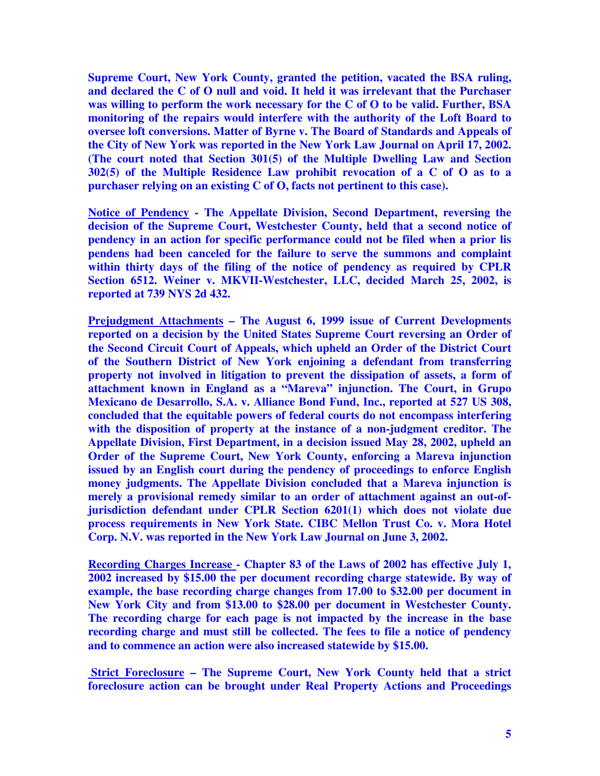**Supreme Court, New York County, granted the petition, vacated the BSA ruling, and declared the C of O null and void. It held it was irrelevant that the Purchaser was willing to perform the work necessary for the C of O to be valid. Further, BSA monitoring of the repairs would interfere with the authority of the Loft Board to oversee loft conversions. Matter of Byrne v. The Board of Standards and Appeals of the City of New York was reported in the New York Law Journal on April 17, 2002. (The court noted that Section 301(5) of the Multiple Dwelling Law and Section 302(5) of the Multiple Residence Law prohibit revocation of a C of O as to a purchaser relying on an existing C of O, facts not pertinent to this case).** 

**Notice of Pendency - The Appellate Division, Second Department, reversing the decision of the Supreme Court, Westchester County, held that a second notice of pendency in an action for specific performance could not be filed when a prior lis pendens had been canceled for the failure to serve the summons and complaint within thirty days of the filing of the notice of pendency as required by CPLR Section 6512. Weiner v. MKVII-Westchester, LLC, decided March 25, 2002, is reported at 739 NYS 2d 432.** 

**Prejudgment Attachments – The August 6, 1999 issue of Current Developments reported on a decision by the United States Supreme Court reversing an Order of the Second Circuit Court of Appeals, which upheld an Order of the District Court of the Southern District of New York enjoining a defendant from transferring property not involved in litigation to prevent the dissipation of assets, a form of attachment known in England as a "Mareva" injunction. The Court, in Grupo Mexicano de Desarrollo, S.A. v. Alliance Bond Fund, Inc., reported at 527 US 308, concluded that the equitable powers of federal courts do not encompass interfering with the disposition of property at the instance of a non-judgment creditor. The Appellate Division, First Department, in a decision issued May 28, 2002, upheld an Order of the Supreme Court, New York County, enforcing a Mareva injunction issued by an English court during the pendency of proceedings to enforce English money judgments. The Appellate Division concluded that a Mareva injunction is merely a provisional remedy similar to an order of attachment against an out-ofjurisdiction defendant under CPLR Section 6201(1) which does not violate due process requirements in New York State. CIBC Mellon Trust Co. v. Mora Hotel Corp. N.V. was reported in the New York Law Journal on June 3, 2002.** 

**Recording Charges Increase - Chapter 83 of the Laws of 2002 has effective July 1, 2002 increased by \$15.00 the per document recording charge statewide. By way of example, the base recording charge changes from 17.00 to \$32.00 per document in New York City and from \$13.00 to \$28.00 per document in Westchester County. The recording charge for each page is not impacted by the increase in the base recording charge and must still be collected. The fees to file a notice of pendency and to commence an action were also increased statewide by \$15.00.** 

 **Strict Foreclosure – The Supreme Court, New York County held that a strict foreclosure action can be brought under Real Property Actions and Proceedings**